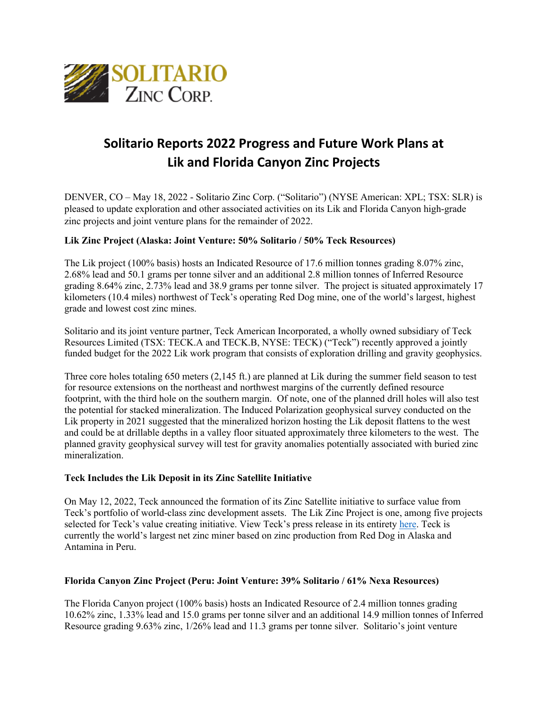

# **Solitario Reports 2022 Progress and Future Work Plans at Lik and Florida Canyon Zinc Projects**

DENVER, CO – May 18, 2022 - Solitario Zinc Corp. ("Solitario") (NYSE American: XPL; TSX: SLR) is pleased to update exploration and other associated activities on its Lik and Florida Canyon high-grade zinc projects and joint venture plans for the remainder of 2022.

### **Lik Zinc Project (Alaska: Joint Venture: 50% Solitario / 50% Teck Resources)**

The Lik project (100% basis) hosts an Indicated Resource of 17.6 million tonnes grading 8.07% zinc, 2.68% lead and 50.1 grams per tonne silver and an additional 2.8 million tonnes of Inferred Resource grading 8.64% zinc, 2.73% lead and 38.9 grams per tonne silver. The project is situated approximately 17 kilometers (10.4 miles) northwest of Teck's operating Red Dog mine, one of the world's largest, highest grade and lowest cost zinc mines.

Solitario and its joint venture partner, Teck American Incorporated, a wholly owned subsidiary of Teck Resources Limited (TSX: TECK.A and TECK.B, NYSE: TECK) ("Teck") recently approved a jointly funded budget for the 2022 Lik work program that consists of exploration drilling and gravity geophysics.

Three core holes totaling 650 meters (2,145 ft.) are planned at Lik during the summer field season to test for resource extensions on the northeast and northwest margins of the currently defined resource footprint, with the third hole on the southern margin. Of note, one of the planned drill holes will also test the potential for stacked mineralization. The Induced Polarization geophysical survey conducted on the Lik property in 2021 suggested that the mineralized horizon hosting the Lik deposit flattens to the west and could be at drillable depths in a valley floor situated approximately three kilometers to the west. The planned gravity geophysical survey will test for gravity anomalies potentially associated with buried zinc mineralization.

#### **Teck Includes the Lik Deposit in its Zinc Satellite Initiative**

On May 12, 2022, Teck announced the formation of its Zinc Satellite initiative to surface value from Teck's portfolio of world-class zinc development assets. The Lik Zinc Project is one, among five projects selected for Teck's value creating initiative. View Teck's press release in its entiret[y here.](https://www.teck.com/news/news-releases/2022/teck-launches-zinc-satellite-to-surface-value-from-portfolio-of-zinc-assets) Teck is currently the world's largest net zinc miner based on zinc production from Red Dog in Alaska and Antamina in Peru.

#### **Florida Canyon Zinc Project (Peru: Joint Venture: 39% Solitario / 61% Nexa Resources)**

The Florida Canyon project (100% basis) hosts an Indicated Resource of 2.4 million tonnes grading 10.62% zinc, 1.33% lead and 15.0 grams per tonne silver and an additional 14.9 million tonnes of Inferred Resource grading 9.63% zinc, 1/26% lead and 11.3 grams per tonne silver. Solitario's joint venture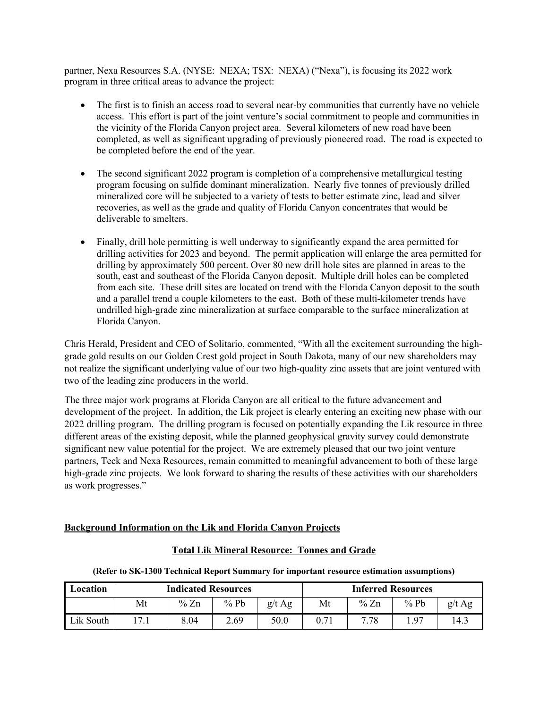partner, Nexa Resources S.A. (NYSE: NEXA; TSX: NEXA) ("Nexa"), is focusing its 2022 work program in three critical areas to advance the project:

- The first is to finish an access road to several near-by communities that currently have no vehicle access. This effort is part of the joint venture's social commitment to people and communities in the vicinity of the Florida Canyon project area. Several kilometers of new road have been completed, as well as significant upgrading of previously pioneered road. The road is expected to be completed before the end of the year.
- The second significant 2022 program is completion of a comprehensive metallurgical testing program focusing on sulfide dominant mineralization. Nearly five tonnes of previously drilled mineralized core will be subjected to a variety of tests to better estimate zinc, lead and silver recoveries, as well as the grade and quality of Florida Canyon concentrates that would be deliverable to smelters.
- Finally, drill hole permitting is well underway to significantly expand the area permitted for drilling activities for 2023 and beyond. The permit application will enlarge the area permitted for drilling by approximately 500 percent. Over 80 new drill hole sites are planned in areas to the south, east and southeast of the Florida Canyon deposit. Multiple drill holes can be completed from each site. These drill sites are located on trend with the Florida Canyon deposit to the south and a parallel trend a couple kilometers to the east. Both of these multi-kilometer trends have undrilled high-grade zinc mineralization at surface comparable to the surface mineralization at Florida Canyon.

Chris Herald, President and CEO of Solitario, commented, "With all the excitement surrounding the highgrade gold results on our Golden Crest gold project in South Dakota, many of our new shareholders may not realize the significant underlying value of our two high-quality zinc assets that are joint ventured with two of the leading zinc producers in the world.

The three major work programs at Florida Canyon are all critical to the future advancement and development of the project. In addition, the Lik project is clearly entering an exciting new phase with our 2022 drilling program. The drilling program is focused on potentially expanding the Lik resource in three different areas of the existing deposit, while the planned geophysical gravity survey could demonstrate significant new value potential for the project. We are extremely pleased that our two joint venture partners, Teck and Nexa Resources, remain committed to meaningful advancement to both of these large high-grade zinc projects. We look forward to sharing the results of these activities with our shareholders as work progresses."

## **Background Information on the Lik and Florida Canyon Projects**

| (Refer to SK-1300 Technical Report Summary for important resource estimation assumptions) |                            |        |        |                           |      |      |        |          |
|-------------------------------------------------------------------------------------------|----------------------------|--------|--------|---------------------------|------|------|--------|----------|
| Location                                                                                  | <b>Indicated Resources</b> |        |        | <b>Inferred Resources</b> |      |      |        |          |
|                                                                                           | Mt                         | % $Zn$ | $%$ Pb | g/t Ag                    | Mt   | % Zn | $%$ Pb | $g/t$ Ag |
| Lik South                                                                                 | 17.1                       | 8.04   | 2.69   | 50.0                      | 0.71 | 7.78 | 1.97   | 14.3     |

## **Total Lik Mineral Resource: Tonnes and Grade**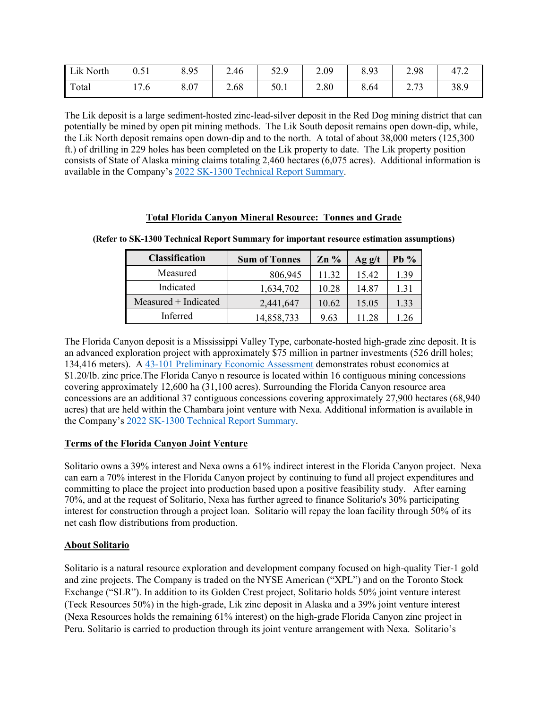| Lik North | ∩ 51<br>U.JI | 8.95 | 2.46 | 57 Q<br>92.I | 2.09 | 8.93 | 2.98           | 47.2 |
|-----------|--------------|------|------|--------------|------|------|----------------|------|
| Total     | 7.6          | 8.07 | 2.68 | 50.1         | 2.80 | 8.64 | 272<br>ر ، ، ب | 38.9 |

The Lik deposit is a large sediment-hosted zinc-lead-silver deposit in the Red Dog mining district that can potentially be mined by open pit mining methods. The Lik South deposit remains open down-dip, while, the Lik North deposit remains open down-dip and to the north. A total of about 38,000 meters (125,300 ft.) of drilling in 229 holes has been completed on the Lik property to date. The Lik property position consists of State of Alaska mining claims totaling 2,460 hectares (6,075 acres). Additional information is available in the Company's [2022 SK-1300 Technical Report Summary.](https://www.sec.gov/Archives/edgar/data/917225/000165495422004166/sodi_ex961.htm)

#### **Total Florida Canyon Mineral Resource: Tonnes and Grade**

| <b>Classification</b> | <b>Sum of Tonnes</b> | $Zn\%$ | Agg/t | $Pb\%$ |
|-----------------------|----------------------|--------|-------|--------|
| Measured              | 806,945              | 11.32  | 15.42 | 1.39   |
| Indicated             | 1,634,702            | 10.28  | 14.87 | 1.31   |
| Measured + Indicated  | 2,441,647            | 10.62  | 15.05 | 1.33   |
| Inferred              | 14,858,733           | 9.63   | 11 28 | 1.26   |

**(Refer to SK-1300 Technical Report Summary for important resource estimation assumptions)**

The Florida Canyon deposit is a Mississippi Valley Type, carbonate-hosted high-grade zinc deposit. It is an advanced exploration project with approximately \$75 million in partner investments (526 drill holes; 134,416 meters). A 43-101 [Preliminary Economic](https://www.sec.gov/Archives/edgar/data/917225/000091722517000026/pea8k.htm) Assessment demonstrates robust economics at \$1.20/lb. zinc price.The Florida Canyo n resource is located within 16 contiguous mining concessions covering approximately 12,600 ha (31,100 acres). Surrounding the Florida Canyon resource area concessions are an additional 37 contiguous concessions covering approximately 27,900 hectares (68,940 acres) that are held within the Chambara joint venture with Nexa. Additional information is available in the Company's [2022 SK-1300 Technical Report Summary.](https://www.sec.gov/Archives/edgar/data/917225/000165495422004166/sodi_ex961.htm)

## **Terms of the Florida Canyon Joint Venture**

Solitario owns a 39% interest and Nexa owns a 61% indirect interest in the Florida Canyon project. Nexa can earn a 70% interest in the Florida Canyon project by continuing to fund all project expenditures and committing to place the project into production based upon a positive feasibility study. After earning 70%, and at the request of Solitario, Nexa has further agreed to finance Solitario's 30% participating interest for construction through a project loan. Solitario will repay the loan facility through 50% of its net cash flow distributions from production.

## **About Solitario**

Solitario is a natural resource exploration and development company focused on high-quality Tier-1 gold and zinc projects. The Company is traded on the NYSE American ("XPL") and on the Toronto Stock Exchange ("SLR"). In addition to its Golden Crest project, Solitario holds 50% joint venture interest (Teck Resources 50%) in the high-grade, Lik zinc deposit in Alaska and a 39% joint venture interest (Nexa Resources holds the remaining 61% interest) on the high-grade Florida Canyon zinc project in Peru. Solitario is carried to production through its joint venture arrangement with Nexa. Solitario's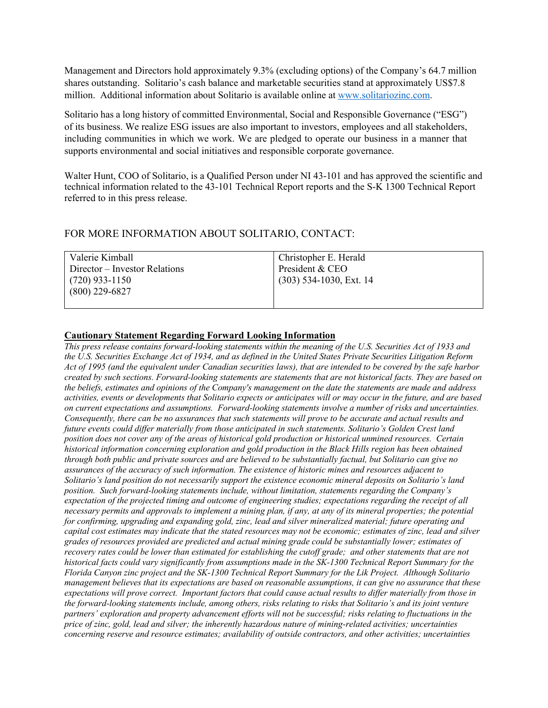Management and Directors hold approximately 9.3% (excluding options) of the Company's 64.7 million shares outstanding. Solitario's cash balance and marketable securities stand at approximately US\$7.8 million. Additional information about Solitario is available online at [www.solitariozinc.com.](https://solitarioxr.com)

Solitario has a long history of committed Environmental, Social and Responsible Governance ("ESG") of its business. We realize ESG issues are also important to investors, employees and all stakeholders, including communities in which we work. We are pledged to operate our business in a manner that supports environmental and social initiatives and responsible corporate governance.

Walter Hunt, COO of Solitario, is a Qualified Person under NI 43-101 and has approved the scientific and technical information related to the 43-101 Technical Report reports and the S-K 1300 Technical Report referred to in this press release.

## FOR MORE INFORMATION ABOUT SOLITARIO, CONTACT:

| Valerie Kimball               | Christopher E. Herald     |
|-------------------------------|---------------------------|
| Director – Investor Relations | President & CEO           |
| $(720)$ 933-1150              | $(303)$ 534-1030, Ext. 14 |
| $(800)$ 229-6827              |                           |
|                               |                           |

#### **Cautionary Statement Regarding Forward Looking Information**

*This press release contains forward-looking statements within the meaning of the U.S. Securities Act of 1933 and the U.S. Securities Exchange Act of 1934, and as defined in the United States Private Securities Litigation Reform Act of 1995 (and the equivalent under Canadian securities laws), that are intended to be covered by the safe harbor created by such sections. Forward-looking statements are statements that are not historical facts. They are based on the beliefs, estimates and opinions of the Company's management on the date the statements are made and address activities, events or developments that Solitario expects or anticipates will or may occur in the future, and are based on current expectations and assumptions. Forward-looking statements involve a number of risks and uncertainties. Consequently, there can be no assurances that such statements will prove to be accurate and actual results and future events could differ materially from those anticipated in such statements. Solitario's Golden Crest land position does not cover any of the areas of historical gold production or historical unmined resources. Certain historical information concerning exploration and gold production in the Black Hills region has been obtained through both public and private sources and are believed to be substantially factual, but Solitario can give no assurances of the accuracy of such information. The existence of historic mines and resources adjacent to Solitario's land position do not necessarily support the existence economic mineral deposits on Solitario's land position. Such forward-looking statements include, without limitation, statements regarding the Company's expectation of the projected timing and outcome of engineering studies; expectations regarding the receipt of all necessary permits and approvals to implement a mining plan, if any, at any of its mineral properties; the potential for confirming, upgrading and expanding gold, zinc, lead and silver mineralized material; future operating and capital cost estimates may indicate that the stated resources may not be economic; estimates of zinc, lead and silver grades of resources provided are predicted and actual mining grade could be substantially lower; estimates of recovery rates could be lower than estimated for establishing the cutoff grade; and other statements that are not historical facts could vary significantly from assumptions made in the SK-1300 Technical Report Summary for the Florida Canyon zinc project and the SK-1300 Technical Report Summary for the Lik Project. Although Solitario management believes that its expectations are based on reasonable assumptions, it can give no assurance that these expectations will prove correct. Important factors that could cause actual results to differ materially from those in the forward-looking statements include, among others, risks relating to risks that Solitario's and its joint venture partners' exploration and property advancement efforts will not be successful; risks relating to fluctuations in the price of zinc, gold, lead and silver; the inherently hazardous nature of mining-related activities; uncertainties concerning reserve and resource estimates; availability of outside contractors, and other activities; uncertainties*